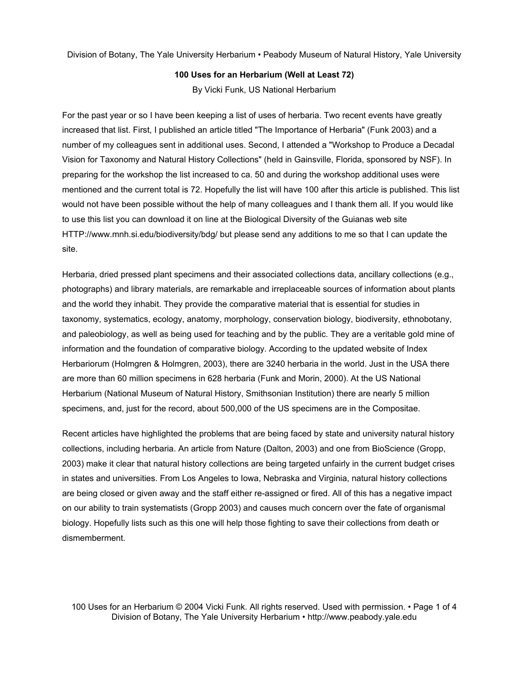Division of Botany, The Yale University Herbarium • Peabody Museum of Natural History, Yale University

### **100 Uses for an Herbarium (Well at Least 72)**

By Vicki Funk, US National Herbarium

For the past year or so I have been keeping a list of uses of herbaria. Two recent events have greatly increased that list. First, I published an article titled "The Importance of Herbaria" (Funk 2003) and a number of my colleagues sent in additional uses. Second, I attended a "Workshop to Produce a Decadal Vision for Taxonomy and Natural History Collections" (held in Gainsville, Florida, sponsored by NSF). In preparing for the workshop the list increased to ca. 50 and during the workshop additional uses were mentioned and the current total is 72. Hopefully the list will have 100 after this article is published. This list would not have been possible without the help of many colleagues and I thank them all. If you would like to use this list you can download it on line at the Biological Diversity of the Guianas web site HTTP://www.mnh.si.edu/biodiversity/bdg/ but please send any additions to me so that I can update the site.

Herbaria, dried pressed plant specimens and their associated collections data, ancillary collections (e.g., photographs) and library materials, are remarkable and irreplaceable sources of information about plants and the world they inhabit. They provide the comparative material that is essential for studies in taxonomy, systematics, ecology, anatomy, morphology, conservation biology, biodiversity, ethnobotany, and paleobiology, as well as being used for teaching and by the public. They are a veritable gold mine of information and the foundation of comparative biology. According to the updated website of Index Herbariorum (Holmgren & Holmgren, 2003), there are 3240 herbaria in the world. Just in the USA there are more than 60 million specimens in 628 herbaria (Funk and Morin, 2000). At the US National Herbarium (National Museum of Natural History, Smithsonian Institution) there are nearly 5 million specimens, and, just for the record, about 500,000 of the US specimens are in the Compositae.

Recent articles have highlighted the problems that are being faced by state and university natural history collections, including herbaria. An article from Nature (Dalton, 2003) and one from BioScience (Gropp, 2003) make it clear that natural history collections are being targeted unfairly in the current budget crises in states and universities. From Los Angeles to Iowa, Nebraska and Virginia, natural history collections are being closed or given away and the staff either re-assigned or fired. All of this has a negative impact on our ability to train systematists (Gropp 2003) and causes much concern over the fate of organismal biology. Hopefully lists such as this one will help those fighting to save their collections from death or dismemberment.

100 Uses for an Herbarium © 2004 Vicki Funk. All rights reserved. Used with permission. • Page 1 of 4 Division of Botany, The Yale University Herbarium • http://www.peabody.yale.edu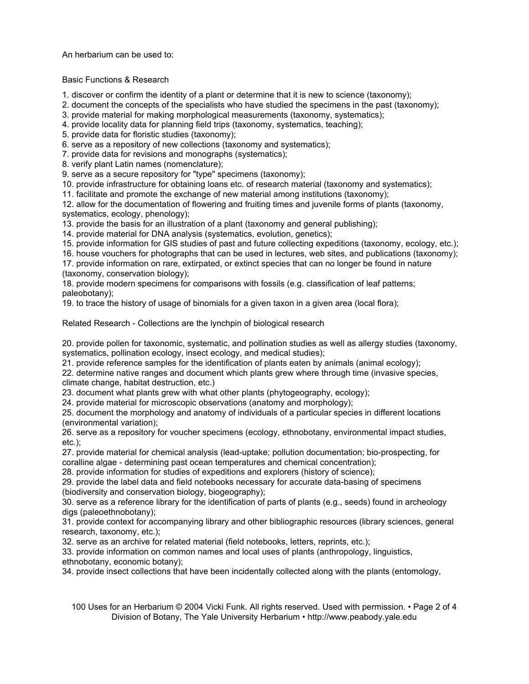An herbarium can be used to:

# Basic Functions & Research

1. discover or confirm the identity of a plant or determine that it is new to science (taxonomy);

2. document the concepts of the specialists who have studied the specimens in the past (taxonomy);

3. provide material for making morphological measurements (taxonomy, systematics);

4. provide locality data for planning field trips (taxonomy, systematics, teaching);

5. provide data for floristic studies (taxonomy);

6. serve as a repository of new collections (taxonomy and systematics);

7. provide data for revisions and monographs (systematics);

8. verify plant Latin names (nomenclature);

9. serve as a secure repository for "type" specimens (taxonomy);

10. provide infrastructure for obtaining loans etc. of research material (taxonomy and systematics);

11. facilitate and promote the exchange of new material among institutions (taxonomy);

12. allow for the documentation of flowering and fruiting times and juvenile forms of plants (taxonomy, systematics, ecology, phenology);

13. provide the basis for an illustration of a plant (taxonomy and general publishing);

14. provide material for DNA analysis (systematics, evolution, genetics);

15. provide information for GIS studies of past and future collecting expeditions (taxonomy, ecology, etc.);

16. house vouchers for photographs that can be used in lectures, web sites, and publications (taxonomy); 17. provide information on rare, extirpated, or extinct species that can no longer be found in nature

(taxonomy, conservation biology);

18. provide modern specimens for comparisons with fossils (e.g. classification of leaf patterns; paleobotany);

19. to trace the history of usage of binomials for a given taxon in a given area (local flora);

Related Research - Collections are the lynchpin of biological research

20. provide pollen for taxonomic, systematic, and pollination studies as well as allergy studies (taxonomy, systematics, pollination ecology, insect ecology, and medical studies);

21. provide reference samples for the identification of plants eaten by animals (animal ecology);

22. determine native ranges and document which plants grew where through time (invasive species, climate change, habitat destruction, etc.)

23. document what plants grew with what other plants (phytogeography, ecology);

24. provide material for microscopic observations (anatomy and morphology);

25. document the morphology and anatomy of individuals of a particular species in different locations (environmental variation);

26. serve as a repository for voucher specimens (ecology, ethnobotany, environmental impact studies, etc.);

27. provide material for chemical analysis (lead-uptake; pollution documentation; bio-prospecting, for coralline algae - determining past ocean temperatures and chemical concentration);

28. provide information for studies of expeditions and explorers (history of science);

29. provide the label data and field notebooks necessary for accurate data-basing of specimens (biodiversity and conservation biology, biogeography);

30. serve as a reference library for the identification of parts of plants (e.g., seeds) found in archeology digs (paleoethnobotany);

31. provide context for accompanying library and other bibliographic resources (library sciences, general research, taxonomy, etc.);

32. serve as an archive for related material (field notebooks, letters, reprints, etc.);

33. provide information on common names and local uses of plants (anthropology, linguistics, ethnobotany, economic botany);

34. provide insect collections that have been incidentally collected along with the plants (entomology,

100 Uses for an Herbarium © 2004 Vicki Funk. All rights reserved. Used with permission. • Page 2 of 4 Division of Botany, The Yale University Herbarium • http://www.peabody.yale.edu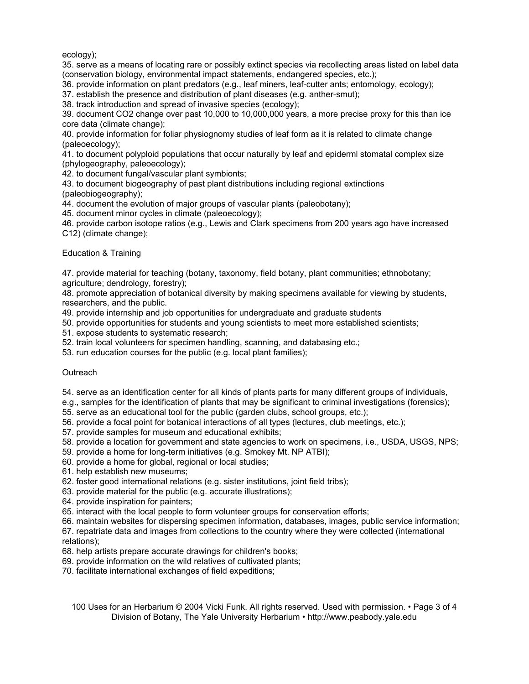ecology);

35. serve as a means of locating rare or possibly extinct species via recollecting areas listed on label data (conservation biology, environmental impact statements, endangered species, etc.);

36. provide information on plant predators (e.g., leaf miners, leaf-cutter ants; entomology, ecology);

37. establish the presence and distribution of plant diseases (e.g. anther-smut);

38. track introduction and spread of invasive species (ecology);

39. document CO2 change over past 10,000 to 10,000,000 years, a more precise proxy for this than ice core data (climate change);

40. provide information for foliar physiognomy studies of leaf form as it is related to climate change (paleoecology);

41. to document polyploid populations that occur naturally by leaf and epiderml stomatal complex size (phylogeography, paleoecology);

42. to document fungal/vascular plant symbionts;

43. to document biogeography of past plant distributions including regional extinctions (paleobiogeography);

44. document the evolution of major groups of vascular plants (paleobotany);

45. document minor cycles in climate (paleoecology);

46. provide carbon isotope ratios (e.g., Lewis and Clark specimens from 200 years ago have increased C12) (climate change);

## Education & Training

47. provide material for teaching (botany, taxonomy, field botany, plant communities; ethnobotany; agriculture; dendrology, forestry);

48. promote appreciation of botanical diversity by making specimens available for viewing by students, researchers, and the public.

49. provide internship and job opportunities for undergraduate and graduate students

50. provide opportunities for students and young scientists to meet more established scientists;

51. expose students to systematic research;

52. train local volunteers for specimen handling, scanning, and databasing etc.;

53. run education courses for the public (e.g. local plant families);

## **Outreach**

54. serve as an identification center for all kinds of plants parts for many different groups of individuals,

e.g., samples for the identification of plants that may be significant to criminal investigations (forensics);

55. serve as an educational tool for the public (garden clubs, school groups, etc.);

56. provide a focal point for botanical interactions of all types (lectures, club meetings, etc.);

57. provide samples for museum and educational exhibits;

- 58. provide a location for government and state agencies to work on specimens, i.e., USDA, USGS, NPS;
- 59. provide a home for long-term initiatives (e.g. Smokey Mt. NP ATBI);
- 60. provide a home for global, regional or local studies;
- 61. help establish new museums;
- 62. foster good international relations (e.g. sister institutions, joint field tribs);
- 63. provide material for the public (e.g. accurate illustrations);
- 64. provide inspiration for painters;
- 65. interact with the local people to form volunteer groups for conservation efforts;

66. maintain websites for dispersing specimen information, databases, images, public service information;

67. repatriate data and images from collections to the country where they were collected (international relations);

- 68. help artists prepare accurate drawings for children's books;
- 69. provide information on the wild relatives of cultivated plants;

70. facilitate international exchanges of field expeditions;

100 Uses for an Herbarium © 2004 Vicki Funk. All rights reserved. Used with permission. • Page 3 of 4 Division of Botany, The Yale University Herbarium • http://www.peabody.yale.edu